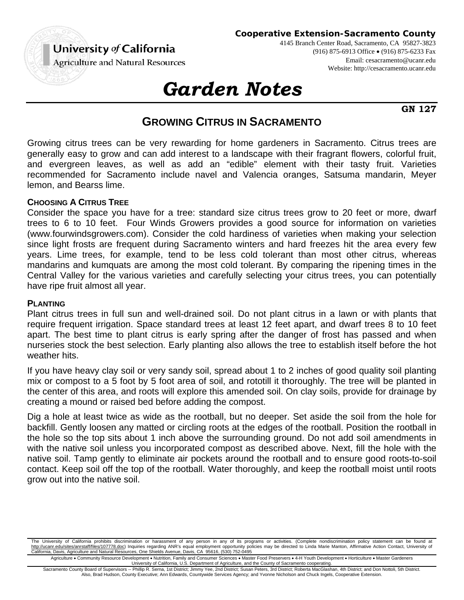

**Cooperative Extension-Sacramento County**

4145 Branch Center Road, Sacramento, CA 95827-3823 (916) 875-6913 Office (916) 875-6233 Fax Email: cesacramento@ucanr.edu Website: http://cesacramento.ucanr.edu

# *Garden Notes*

**GN 127**

# **GROWING CITRUS IN SACRAMENTO**

Growing citrus trees can be very rewarding for home gardeners in Sacramento. Citrus trees are generally easy to grow and can add interest to a landscape with their fragrant flowers, colorful fruit, and evergreen leaves, as well as add an "edible" element with their tasty fruit. Varieties recommended for Sacramento include navel and Valencia oranges, Satsuma mandarin, Meyer lemon, and Bearss lime.

# **CHOOSING A CITRUS TREE**

Consider the space you have for a tree: standard size citrus trees grow to 20 feet or more, dwarf trees to 6 to 10 feet. Four Winds Growers provides a good source for information on varieties (www.fourwindsgrowers.com). Consider the cold hardiness of varieties when making your selection since light frosts are frequent during Sacramento winters and hard freezes hit the area every few years. Lime trees, for example, tend to be less cold tolerant than most other citrus, whereas mandarins and kumquats are among the most cold tolerant. By comparing the ripening times in the Central Valley for the various varieties and carefully selecting your citrus trees, you can potentially have ripe fruit almost all year.

#### **PLANTING**

Plant citrus trees in full sun and well-drained soil. Do not plant citrus in a lawn or with plants that require frequent irrigation. Space standard trees at least 12 feet apart, and dwarf trees 8 to 10 feet apart. The best time to plant citrus is early spring after the danger of frost has passed and when nurseries stock the best selection. Early planting also allows the tree to establish itself before the hot weather hits.

If you have heavy clay soil or very sandy soil, spread about 1 to 2 inches of good quality soil planting mix or compost to a 5 foot by 5 foot area of soil, and rototill it thoroughly. The tree will be planted in the center of this area, and roots will explore this amended soil. On clay soils, provide for drainage by creating a mound or raised bed before adding the compost.

Dig a hole at least twice as wide as the rootball, but no deeper. Set aside the soil from the hole for backfill. Gently loosen any matted or circling roots at the edges of the rootball. Position the rootball in the hole so the top sits about 1 inch above the surrounding ground. Do not add soil amendments in with the native soil unless you incorporated compost as described above. Next, fill the hole with the native soil. Tamp gently to eliminate air pockets around the rootball and to ensure good roots-to-soil contact. Keep soil off the top of the rootball. Water thoroughly, and keep the rootball moist until roots grow out into the native soil.

The University of California prohibits discrimination or harassment of any person in any of its programs or activities. (Complete nondiscrimination policy statement can be found at <u>http://ucanr.edu/sites/anrstaff/files/107778.doc</u>) Inquiries regarding ANR's equal employment opportunity policies may be directed to Linda Marie Manton, Affirmative Action Contact, University of<br>California, Davis, Agricu

Agriculture . Community Resource Development . Nutrition, Family and Consumer Sciences . Master Food Preservers . 4-H Youth Development . Horticulture . Master Gardeners University of California, U.S. Department of Agriculture, and the County of Sacramento cooperating.

Sacramento County Board of Supervisors -- Phillip R. Serna, 1st District; Jimmy Yee, 2nd District; Susan Peters, 3rd District; Roberta MacGlashan, 4th District; and Don Nottoli, 5th District. Also, Brad Hudson, County Executive; Ann Edwards, Countywide Services Agency; and Yvonne Nicholson and Chuck Ingels, Cooperative Extension.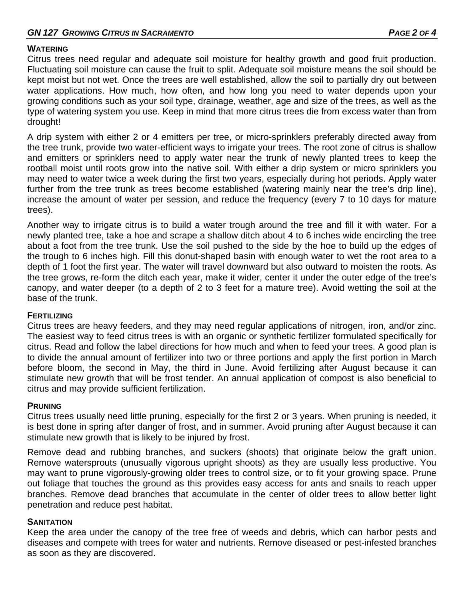# **WATERING**

Citrus trees need regular and adequate soil moisture for healthy growth and good fruit production. Fluctuating soil moisture can cause the fruit to split. Adequate soil moisture means the soil should be kept moist but not wet. Once the trees are well established, allow the soil to partially dry out between water applications. How much, how often, and how long you need to water depends upon your growing conditions such as your soil type, drainage, weather, age and size of the trees, as well as the type of watering system you use. Keep in mind that more citrus trees die from excess water than from drought!

A drip system with either 2 or 4 emitters per tree, or micro-sprinklers preferably directed away from the tree trunk, provide two water-efficient ways to irrigate your trees. The root zone of citrus is shallow and emitters or sprinklers need to apply water near the trunk of newly planted trees to keep the rootball moist until roots grow into the native soil. With either a drip system or micro sprinklers you may need to water twice a week during the first two years, especially during hot periods. Apply water further from the tree trunk as trees become established (watering mainly near the tree's drip line), increase the amount of water per session, and reduce the frequency (every 7 to 10 days for mature trees).

Another way to irrigate citrus is to build a water trough around the tree and fill it with water. For a newly planted tree, take a hoe and scrape a shallow ditch about 4 to 6 inches wide encircling the tree about a foot from the tree trunk. Use the soil pushed to the side by the hoe to build up the edges of the trough to 6 inches high. Fill this donut-shaped basin with enough water to wet the root area to a depth of 1 foot the first year. The water will travel downward but also outward to moisten the roots. As the tree grows, re-form the ditch each year, make it wider, center it under the outer edge of the tree's canopy, and water deeper (to a depth of 2 to 3 feet for a mature tree). Avoid wetting the soil at the base of the trunk.

# **FERTILIZING**

Citrus trees are heavy feeders, and they may need regular applications of nitrogen, iron, and/or zinc. The easiest way to feed citrus trees is with an organic or synthetic fertilizer formulated specifically for citrus. Read and follow the label directions for how much and when to feed your trees. A good plan is to divide the annual amount of fertilizer into two or three portions and apply the first portion in March before bloom, the second in May, the third in June. Avoid fertilizing after August because it can stimulate new growth that will be frost tender. An annual application of compost is also beneficial to citrus and may provide sufficient fertilization.

# **PRUNING**

Citrus trees usually need little pruning, especially for the first 2 or 3 years. When pruning is needed, it is best done in spring after danger of frost, and in summer. Avoid pruning after August because it can stimulate new growth that is likely to be injured by frost.

Remove dead and rubbing branches, and suckers (shoots) that originate below the graft union. Remove watersprouts (unusually vigorous upright shoots) as they are usually less productive. You may want to prune vigorously-growing older trees to control size, or to fit your growing space. Prune out foliage that touches the ground as this provides easy access for ants and snails to reach upper branches. Remove dead branches that accumulate in the center of older trees to allow better light penetration and reduce pest habitat.

# **SANITATION**

Keep the area under the canopy of the tree free of weeds and debris, which can harbor pests and diseases and compete with trees for water and nutrients. Remove diseased or pest-infested branches as soon as they are discovered.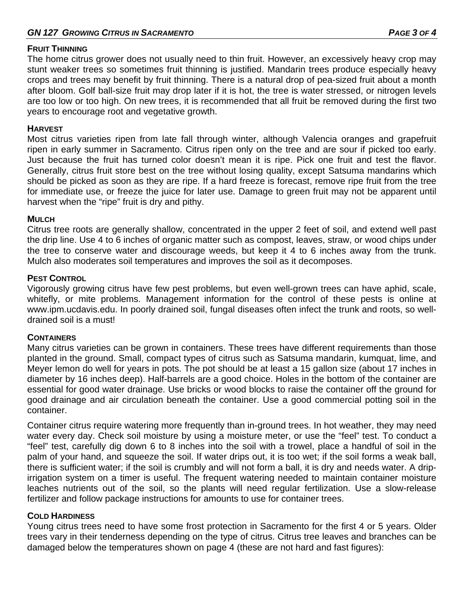#### **FRUIT THINNING**

The home citrus grower does not usually need to thin fruit. However, an excessively heavy crop may stunt weaker trees so sometimes fruit thinning is justified. Mandarin trees produce especially heavy crops and trees may benefit by fruit thinning. There is a natural drop of pea-sized fruit about a month after bloom. Golf ball-size fruit may drop later if it is hot, the tree is water stressed, or nitrogen levels are too low or too high. On new trees, it is recommended that all fruit be removed during the first two years to encourage root and vegetative growth.

#### **HARVEST**

Most citrus varieties ripen from late fall through winter, although Valencia oranges and grapefruit ripen in early summer in Sacramento. Citrus ripen only on the tree and are sour if picked too early. Just because the fruit has turned color doesn't mean it is ripe. Pick one fruit and test the flavor. Generally, citrus fruit store best on the tree without losing quality, except Satsuma mandarins which should be picked as soon as they are ripe. If a hard freeze is forecast, remove ripe fruit from the tree for immediate use, or freeze the juice for later use. Damage to green fruit may not be apparent until harvest when the "ripe" fruit is dry and pithy.

#### **MULCH**

Citrus tree roots are generally shallow, concentrated in the upper 2 feet of soil, and extend well past the drip line. Use 4 to 6 inches of organic matter such as compost, leaves, straw, or wood chips under the tree to conserve water and discourage weeds, but keep it 4 to 6 inches away from the trunk. Mulch also moderates soil temperatures and improves the soil as it decomposes.

#### **PEST CONTROL**

Vigorously growing citrus have few pest problems, but even well-grown trees can have aphid, scale, whitefly, or mite problems. Management information for the control of these pests is online at www.ipm.ucdavis.edu. In poorly drained soil, fungal diseases often infect the trunk and roots, so welldrained soil is a must!

# **CONTAINERS**

Many citrus varieties can be grown in containers. These trees have different requirements than those planted in the ground. Small, compact types of citrus such as Satsuma mandarin, kumquat, lime, and Meyer lemon do well for years in pots. The pot should be at least a 15 gallon size (about 17 inches in diameter by 16 inches deep). Half-barrels are a good choice. Holes in the bottom of the container are essential for good water drainage. Use bricks or wood blocks to raise the container off the ground for good drainage and air circulation beneath the container. Use a good commercial potting soil in the container.

Container citrus require watering more frequently than in-ground trees. In hot weather, they may need water every day. Check soil moisture by using a moisture meter, or use the "feel" test. To conduct a "feel" test, carefully dig down 6 to 8 inches into the soil with a trowel, place a handful of soil in the palm of your hand, and squeeze the soil. If water drips out, it is too wet; if the soil forms a weak ball, there is sufficient water; if the soil is crumbly and will not form a ball, it is dry and needs water. A dripirrigation system on a timer is useful. The frequent watering needed to maintain container moisture leaches nutrients out of the soil, so the plants will need regular fertilization. Use a slow-release fertilizer and follow package instructions for amounts to use for container trees.

# **COLD HARDINESS**

Young citrus trees need to have some frost protection in Sacramento for the first 4 or 5 years. Older trees vary in their tenderness depending on the type of citrus. Citrus tree leaves and branches can be damaged below the temperatures shown on page 4 (these are not hard and fast figures):